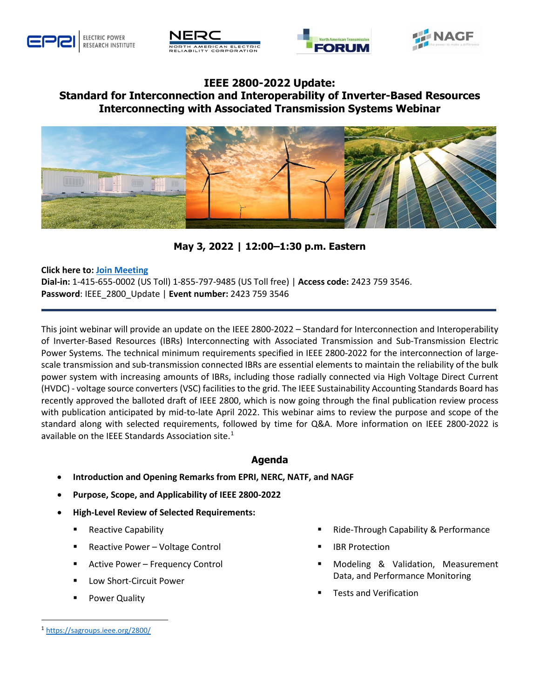







## **IEEE 2800-2022 Update: Standard for Interconnection and Interoperability of Inverter-Based Resources Interconnecting with Associated Transmission Systems Webinar**



**May 3, 2022 | 12:00–1:30 p.m. Eastern**

## **Click here to: [Join Meeting](https://urldefense.com/v3/__https:/epri.webex.com/epri/j.php?MTID=e2023bce49bf99196092972d25c6f2f8b__;!!MLsdJ25-fIk!4Oil0S7VpiO5_j2VqIut8TRp1_rZ2UArtTXj5D7eiLdcOY3KNg9pTOI59uJZMfHA$)**

**Dial-in:** 1-415-655-0002 (US Toll) 1-855-797-9485 (US Toll free) | **Access code:** 2423 759 3546. **Password**: IEEE\_2800\_Update | **Event number:** 2423 759 3546

This joint webinar will provide an update on the IEEE 2800-2022 – Standard for Interconnection and Interoperability of Inverter-Based Resources (IBRs) Interconnecting with Associated Transmission and Sub-Transmission Electric Power Systems*.* The technical minimum requirements specified in IEEE 2800-2022 for the interconnection of largescale transmission and sub-transmission connected IBRs are essential elements to maintain the reliability of the bulk power system with increasing amounts of IBRs, including those radially connected via High Voltage Direct Current (HVDC) - voltage source converters (VSC) facilities to the grid. The IEEE Sustainability Accounting Standards Board has recently approved the balloted draft of IEEE 2800, which is now going through the final publication review process with publication anticipated by mid-to-late April 2022. This webinar aims to review the purpose and scope of the standard along with selected requirements, followed by time for Q&A. More information on IEEE 2800-2022 is available on the IEEE Standards Association site. $^{1}$  $^{1}$  $^{1}$ 

## **Agenda**

- **Introduction and Opening Remarks from EPRI, NERC, NATF, and NAGF**
- **Purpose, Scope, and Applicability of IEEE 2800-2022**
- **High-Level Review of Selected Requirements:**
	- Reactive Capability
	- Reactive Power Voltage Control
	- Active Power Frequency Control
	- Low Short-Circuit Power
	- Power Quality
- Ride-Through Capability & Performance
- IBR Protection
- Modeling & Validation, Measurement Data, and Performance Monitoring
- Tests and Verification

<span id="page-0-0"></span> <sup>1</sup> <https://sagroups.ieee.org/2800/>